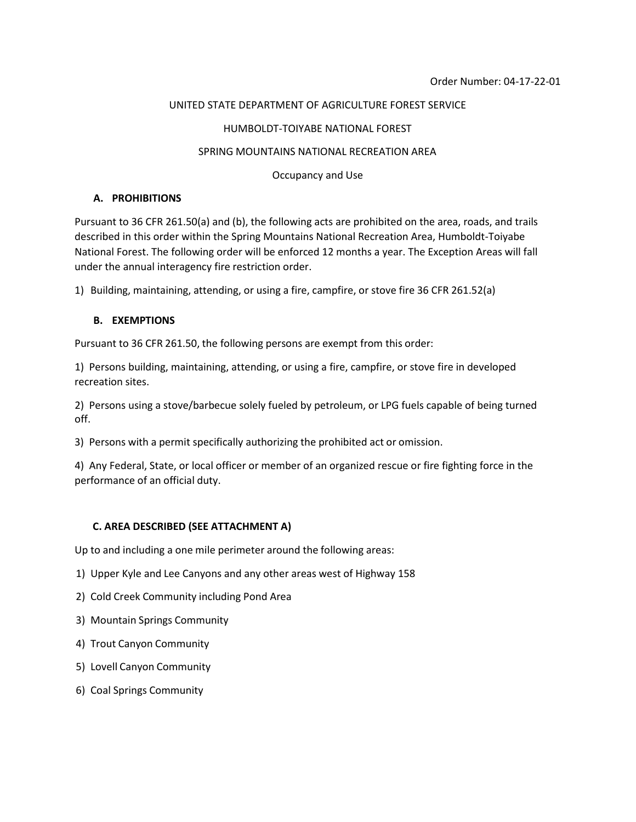#### UNITED STATE DEPARTMENT OF AGRICULTURE FOREST SERVICE

### HUMBOLDT-TOIYABE NATIONAL FOREST

#### SPRING MOUNTAINS NATIONAL RECREATION AREA

Occupancy and Use

## **A. PROHIBITIONS**

Pursuant to 36 CFR 261.50(a) and (b), the following acts are prohibited on the area, roads, and trails described in this order within the Spring Mountains National Recreation Area, Humboldt-Toiyabe National Forest. The following order will be enforced 12 months a year. The Exception Areas will fall under the annual interagency fire restriction order.

1) Building, maintaining, attending, or using a fire, campfire, or stove fire 36 CFR 261.52(a)

### **B. EXEMPTIONS**

Pursuant to 36 CFR 261.50, the following persons are exempt from this order:

1) Persons building, maintaining, attending, or using a fire, campfire, or stove fire in developed recreation sites.

2) Persons using a stove/barbecue solely fueled by petroleum, or LPG fuels capable of being turned off.

3) Persons with a permit specifically authorizing the prohibited act or omission.

4) Any Federal, State, or local officer or member of an organized rescue or fire fighting force in the performance of an official duty.

# **C. AREA DESCRIBED (SEE ATTACHMENT A)**

Up to and including a one mile perimeter around the following areas:

- 1) Upper Kyle and Lee Canyons and any other areas west of Highway 158
- 2) Cold Creek Community including Pond Area
- 3) Mountain Springs Community
- 4) Trout Canyon Community
- 5) Lovell Canyon Community
- 6) Coal Springs Community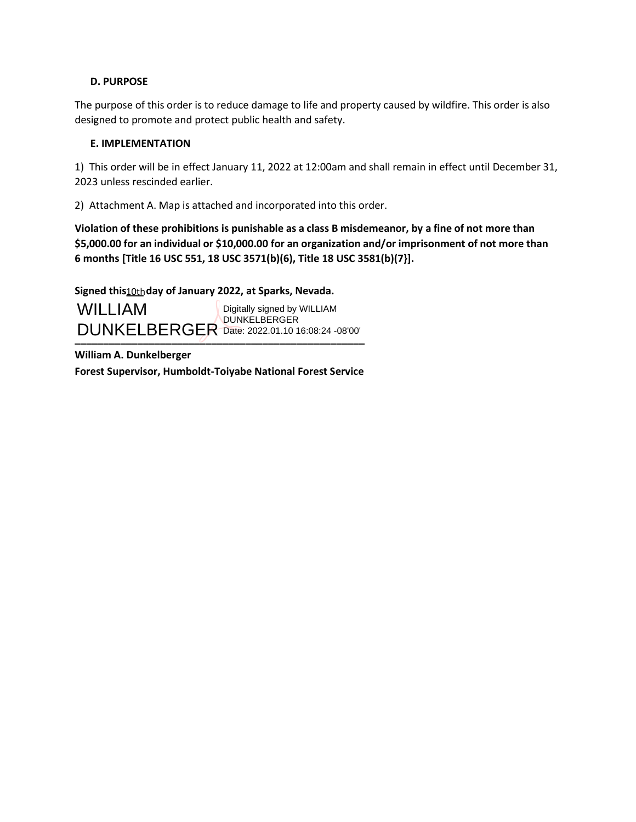# **D. PURPOSE**

The purpose of this order is to reduce damage to life and property caused by wildfire. This order is also designed to promote and protect public health and safety.

# **E. IMPLEMENTATION**

1) This order will be in effect January 11, 2022 at 12:00am and shall remain in effect until December 31, 2023 unless rescinded earlier.

2) Attachment A. Map is attached and incorporated into this order.

**Violation of these prohibitions is punishable as a class B misdemeanor, by a fine of not more than \$5,000.00 for an individual or \$10,000.00 for an organization and/or imprisonment of not more than 6 months [Title 16 USC 551, 18 USC 3571(b)(6), Title 18 USC 3581(b)(7}].**

Signed this **10th day of January 2022, at Sparks, Nevada**.

**\_\_\_\_\_\_\_\_\_\_\_\_\_\_\_\_\_\_\_\_\_\_\_\_\_\_\_\_\_\_\_\_\_\_\_\_\_\_\_\_\_\_\_\_\_\_\_\_\_\_\_** DUNKELBERGER Date: 2022.01.10 16:08:24 -08'00'**WILLIAM** Digitally signed by WILLIAM DUNKELBERGER

**William A. Dunkelberger Forest Supervisor, Humboldt-Toiyabe National Forest Service**